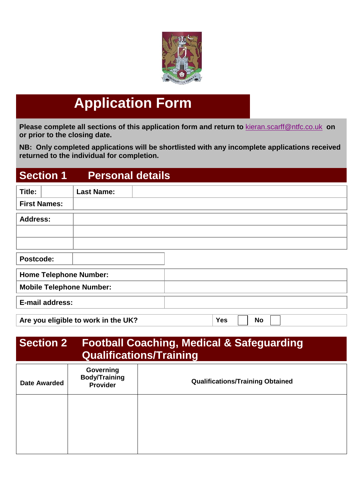

# **Application Form**

**Please complete all sections of this application form and return to** [kieran.scarff@ntfc.co.uk](mailto:kieran.scarff@ntfc.co.uk) **on or prior to the closing date.** 

**NB: Only completed applications will be shortlisted with any incomplete applications received returned to the individual for completion.** 

#### **Section 1 Personal details**

| Title:          |                     | <b>Last Name:</b>                   |  |            |           |  |
|-----------------|---------------------|-------------------------------------|--|------------|-----------|--|
|                 | <b>First Names:</b> |                                     |  |            |           |  |
| <b>Address:</b> |                     |                                     |  |            |           |  |
|                 |                     |                                     |  |            |           |  |
|                 |                     |                                     |  |            |           |  |
| Postcode:       |                     |                                     |  |            |           |  |
|                 |                     | <b>Home Telephone Number:</b>       |  |            |           |  |
|                 |                     | <b>Mobile Telephone Number:</b>     |  |            |           |  |
|                 | E-mail address:     |                                     |  |            |           |  |
|                 |                     | Are you eligible to work in the UK? |  | <b>Yes</b> | <b>No</b> |  |
|                 |                     |                                     |  |            |           |  |

## **Section 2 Football Coaching, Medical & Safeguarding Qualifications/Training**

| <b>Date Awarded</b> | Governing<br><b>Body/Training</b><br>Provider | <b>Qualifications/Training Obtained</b> |
|---------------------|-----------------------------------------------|-----------------------------------------|
|                     |                                               |                                         |
|                     |                                               |                                         |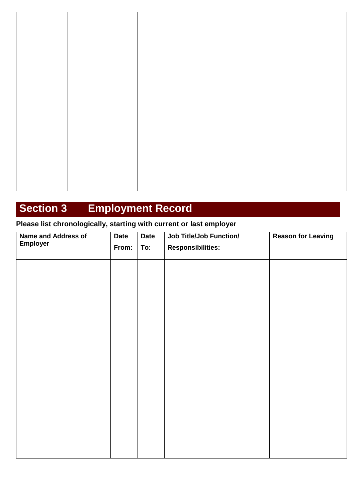# **Section 3 Employment Record**

#### **Please list chronologically, starting with current or last employer**

| <b>Name and Address of</b> | <b>Date</b> | <b>Date</b> | <b>Job Title/Job Function/</b> | <b>Reason for Leaving</b> |  |
|----------------------------|-------------|-------------|--------------------------------|---------------------------|--|
| <b>Employer</b>            | From:       | To:         | <b>Responsibilities:</b>       |                           |  |
|                            |             |             |                                |                           |  |
|                            |             |             |                                |                           |  |
|                            |             |             |                                |                           |  |
|                            |             |             |                                |                           |  |
|                            |             |             |                                |                           |  |
|                            |             |             |                                |                           |  |
|                            |             |             |                                |                           |  |
|                            |             |             |                                |                           |  |
|                            |             |             |                                |                           |  |
|                            |             |             |                                |                           |  |
|                            |             |             |                                |                           |  |
|                            |             |             |                                |                           |  |
|                            |             |             |                                |                           |  |
|                            |             |             |                                |                           |  |
|                            |             |             |                                |                           |  |
|                            |             |             |                                |                           |  |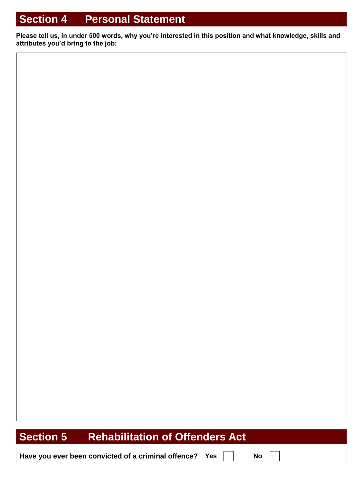# **Section 4 Personal Statement**

**Please tell us, in under 500 words, why you're interested in this position and what knowledge, skills and attributes you'd bring to the job:** 

# **Section 5 Rehabilitation of Offenders Act**

**Have you ever been convicted of a criminal offence? Yes No**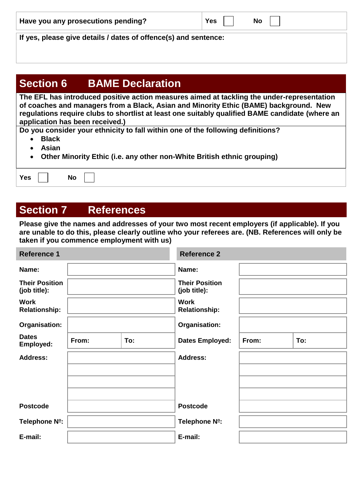| Have you any prosecutions pending?                              | Yes | No |  |  |  |  |  |
|-----------------------------------------------------------------|-----|----|--|--|--|--|--|
|                                                                 |     |    |  |  |  |  |  |
| If yes, please give details / dates of offence(s) and sentence: |     |    |  |  |  |  |  |

#### **Section 6 BAME Declaration**

**The EFL has introduced positive action measures aimed at tackling the under-representation of coaches and managers from a Black, Asian and Minority Ethic (BAME) background. New regulations require clubs to shortlist at least one suitably qualified BAME candidate (where an application has been received.)**

**Do you consider your ethnicity to fall within one of the following definitions?** 

- **Black**
- **Asian**
- **Other Minority Ethic (i.e. any other non-White British ethnic grouping)**

|  | 7es |  | Na |  |  |
|--|-----|--|----|--|--|
|--|-----|--|----|--|--|

# **Section 7 References**

**Please give the names and addresses of your two most recent employers (if applicable). If you are unable to do this, please clearly outline who your referees are. (NB. References will only be taken if you commence employment with us)**

| <b>Reference 1</b>                    |       |     | <b>Reference 2</b>                    |       |     |  |
|---------------------------------------|-------|-----|---------------------------------------|-------|-----|--|
| Name:                                 |       |     | Name:                                 |       |     |  |
| <b>Their Position</b><br>(job title): |       |     | <b>Their Position</b><br>(job title): |       |     |  |
| <b>Work</b><br><b>Relationship:</b>   |       |     | <b>Work</b><br><b>Relationship:</b>   |       |     |  |
| Organisation:                         |       |     | Organisation:                         |       |     |  |
| <b>Dates</b><br>Employed:             | From: | To: | <b>Dates Employed:</b>                | From: | To: |  |
| <b>Address:</b>                       |       |     | <b>Address:</b>                       |       |     |  |
|                                       |       |     |                                       |       |     |  |
|                                       |       |     |                                       |       |     |  |
|                                       |       |     |                                       |       |     |  |
| <b>Postcode</b>                       |       |     | <b>Postcode</b>                       |       |     |  |
| Telephone Nº:                         |       |     | Telephone Nº:                         |       |     |  |
| E-mail:                               |       |     | E-mail:                               |       |     |  |